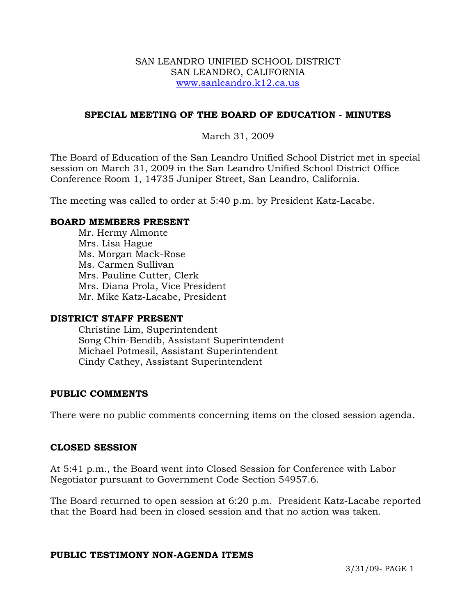#### SAN LEANDRO UNIFIED SCHOOL DISTRICT SAN LEANDRO, CALIFORNIA www.sanleandro.k12.ca.us

## **SPECIAL MEETING OF THE BOARD OF EDUCATION - MINUTES**

## March 31, 2009

The Board of Education of the San Leandro Unified School District met in special session on March 31, 2009 in the San Leandro Unified School District Office Conference Room 1, 14735 Juniper Street, San Leandro, California.

The meeting was called to order at 5:40 p.m. by President Katz-Lacabe.

#### **BOARD MEMBERS PRESENT**

Mr. Hermy Almonte Mrs. Lisa Hague Ms. Morgan Mack-Rose Ms. Carmen Sullivan Mrs. Pauline Cutter, Clerk Mrs. Diana Prola, Vice President Mr. Mike Katz-Lacabe, President

#### **DISTRICT STAFF PRESENT**

Christine Lim, Superintendent Song Chin-Bendib, Assistant Superintendent Michael Potmesil, Assistant Superintendent Cindy Cathey, Assistant Superintendent

#### **PUBLIC COMMENTS**

There were no public comments concerning items on the closed session agenda.

#### **CLOSED SESSION**

At 5:41 p.m., the Board went into Closed Session for Conference with Labor Negotiator pursuant to Government Code Section 54957.6.

The Board returned to open session at 6:20 p.m. President Katz-Lacabe reported that the Board had been in closed session and that no action was taken.

#### **PUBLIC TESTIMONY NON-AGENDA ITEMS**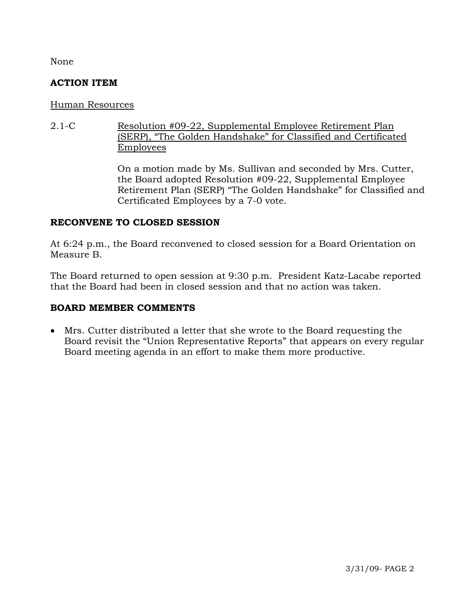None

## **ACTION ITEM**

## Human Resources

2.1-C Resolution #09-22, Supplemental Employee Retirement Plan (SERP), "The Golden Handshake" for Classified and Certificated Employees

> On a motion made by Ms. Sullivan and seconded by Mrs. Cutter, the Board adopted Resolution #09-22, Supplemental Employee Retirement Plan (SERP) "The Golden Handshake" for Classified and Certificated Employees by a 7-0 vote.

## **RECONVENE TO CLOSED SESSION**

At 6:24 p.m., the Board reconvened to closed session for a Board Orientation on Measure B.

The Board returned to open session at 9:30 p.m. President Katz-Lacabe reported that the Board had been in closed session and that no action was taken.

# **BOARD MEMBER COMMENTS**

• Mrs. Cutter distributed a letter that she wrote to the Board requesting the Board revisit the "Union Representative Reports" that appears on every regular Board meeting agenda in an effort to make them more productive.